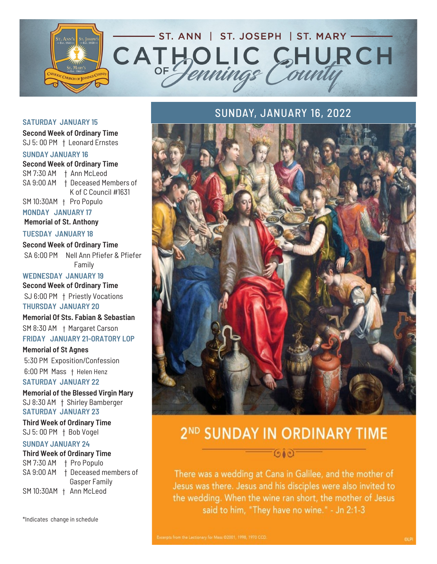

#### **SATURDAY JANUARY 15**

**Second Week of Ordinary Time** SJ 5: 00 PM † Leonard Ernstes

#### **SUNDAY JANUARY 16**

**Second Week of Ordinary Time** SM 7:30 AM † Ann McLeod SA 9:00 AM † Deceased Members of K of C Council #1631

SM 10:30AM † Pro Populo

**MONDAY JANUARY 17 Memorial of St. Anthony**

**TUESDAY JANUARY 18**

**Second Week of Ordinary Time** SA 6:00 PM Nell Ann Pfiefer & Pfiefer Family

**WEDNESDAY JANUARY 19 Second Week of Ordinary Time** SJ 6:00 PM † Priestly Vocations **THURSDAY JANUARY 20**

**Memorial Of Sts. Fabian & Sebastian** SM 8:30 AM † Margaret Carson

**FRIDAY JANUARY 21-ORATORY LOP**

**Memorial of St Agnes** 5:30 PM Exposition/Confession 6:00 PM Mass † Helen Henz

**SATURDAY JANUARY 22**

**Memorial of the Blessed Virgin Mary** SJ 8:30 AM † Shirley Bamberger **SATURDAY JANUARY 23**

**Third Week of Ordinary Time** SJ 5: 00 PM † Bob Vogel

#### **SUNDAY JANUARY 24**

#### **Third Week of Ordinary Time**

SM 7:30 AM † Pro Populo SA 9:00 AM † Deceased members of Gasper Family SM 10:30AM † Ann McLeod

\*Indicates change in schedule

## SUNDAY, JANUARY 16, 2022



# 2ND SUNDAY IN ORDINARY TIME

010

There was a wedding at Cana in Galilee, and the mother of Jesus was there. Jesus and his disciples were also invited to the wedding. When the wine ran short, the mother of Jesus said to him, "They have no wine." - Jn 2:1-3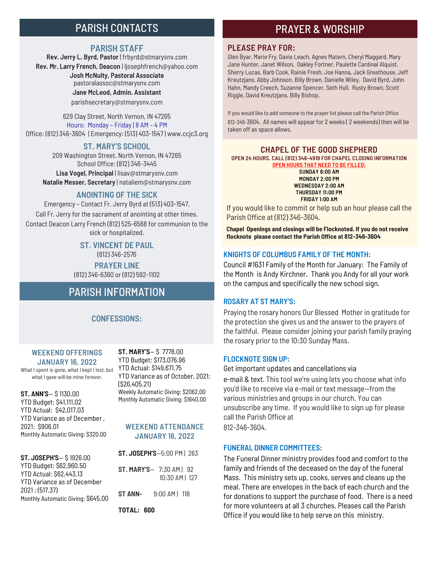## PARISH CONTACTS

#### **PARISH STAFF**

**Rev. Jerry L. Byrd, Pastor** | frbyrd@stmarysnv.com **Rev. Mr. Larry French, Deacon** | ljosephfrench@yahoo.com **Josh McNulty, Pastoral Associate**  pastoralassoc@stmarysnv.com **Jane McLeod, Admin. Assistant** parishsecretary@stmarysnv.com

629 Clay Street, North Vernon, IN 47265 Hours: Monday – Friday | 8 AM – 4 PM Office: (812) 346-3604 | Emergency: (513) 403-1547 | www.ccjc3.org

#### **ST. MARY'S SCHOOL**

209 Washington Street, North Vernon, IN 47265 School Office: (812) 346-3445 **Lisa Vogel, Principal** | lisav@stmarysnv.com **Natalie Messer, Secretary** | nataliem@stmarysnv.com

#### **ANOINTING OF THE SICK**

Emergency – Contact Fr. Jerry Byrd at (513) 403-1547. Call Fr. Jerry for the sacrament of anointing at other times. Contact Deacon Larry French (812) 525-6568 for communion to the sick or hospitalized.

> **ST. VINCENT DE PAUL** (812) 346-2576 **PRAYER LINE**

(812) 346-6360 or (812) 592-1102

## PARISH INFORMATION

#### **CONFESSIONS:**

#### **WEEKEND OFFERINGS JANUARY 16, 2022**

What I spent is gone, what I kept I lost, but what I gave will be mine forever.

**ST. ANN'S**— \$ 1130.00 YTD Budget: \$41,111.02 YTD Actual: \$42,017.03 YTD Variance as of December , 2021: \$906.01 Monthly Automatic Giving: \$320.00

#### **ST. JOSEPH'S**— \$ 1926.00

YTD Budget: \$62,960.50 YTD Actual: \$62,443.13 YTD Variance as of December 2021 : (517.37) Monthly Automatic Giving: \$645.00

**ST. MARY'S**— \$ 7778.00 YTD Budget: \$173,076.96 YTD Actual: \$149,671.75 YTD Variance as of October, 2021: (\$26,405.21) Weekly Automatic Giving: \$2062.00 Monthly Automatic Giving: \$1640.00

#### **WEEKEND ATTENDANCE JANUARY 16, 2022**

**ST. JOSEPH'S**—5:00 PM | 263

**ST. MARY'S**— 7:30 AM | 92 10:30 AM | 127 **ST ANN-** 9:00 AM | 118

**TOTAL: 600**

## PRAYER & WORSHIP

#### **PLEASE PRAY FOR:**

Glen Byar, Marie Fry, Davie Leach, Agnes Matern, Cheryl Maggard, Mary Jane Hunter, Janet Wilson, Oakley Fortner, Paulette Cardinal Alquist, Sherry Lucas, Barb Cook, Rainie Fresh, Joe Hanna, Jack Greathouse, Jeff Kreutzjans, Abby Johnson, Billy Brown, Danielle Wiley, David Byrd, John Hahn, Mandy Creech, Suzanne Spencer, Seth Hull, Rusty Brown, Scott Riggle, David Kreutzjans, Billy Bishop.

If you would like to add someone to the prayer list please call the Parish Office 812-346-3604. All names will appear for 2 weeks ( 2 weekends) then will be taken off as space allows.

#### **CHAPEL OF THE GOOD SHEPHERD OPEN 24 HOURS. CALL (812) 346-4919 FOR CHAPEL CLOSING INFORMATION OPEN HOURS THAT NEED TO BE FILLED:**

**SUNDAY 8:00 AM MONDAY 2:00 PM WEDNESDAY 2:00 AM THURSDAY 11:00 PM FRIDAY 1:00 AM**

If you would like to commit or help sub an hour please call the Parish Office at (812) 346-3604.

**Chapel Openings and closings will be Flocknoted. If you do not receive flocknote please contact the Parish Office at 812-346-3604**

#### **KNIGHTS OF COLUMBUS FAMILY OF THE MONTH:**

Council #1631 Family of the Month for January: The Family of the Month is Andy Kirchner. Thank you Andy for all your work on the campus and specifically the new school sign.

#### **ROSARY AT ST MARY'S:**

Praying the rosary honors Our Blessed Mother in gratitude for the protection she gives us and the answer to the prayers of the faithful. Please consider joining your parish family praying the rosary prior to the 10:30 Sunday Mass.

#### **FLOCKNOTE SIGN UP:**

Get important updates and cancellations via e-mail & text. This tool we're using lets you choose what info you'd like to receive via e-mail or text message—from the various ministries and groups in our church. You can unsubscribe any time. If you would like to sign up for please call the Parish Office at

812-346-3604.

#### **FUNERAL DINNER COMMITTEES:**

The Funeral Dinner ministry provides food and comfort to the family and friends of the deceased on the day of the funeral Mass. This ministry sets up, cooks, serves and cleans up the meal. There are envelopes in the back of each church and the for donations to support the purchase of food. There is a need for more volunteers at all 3 churches. Pleases call the Parish Office if you would like to help serve on this ministry.